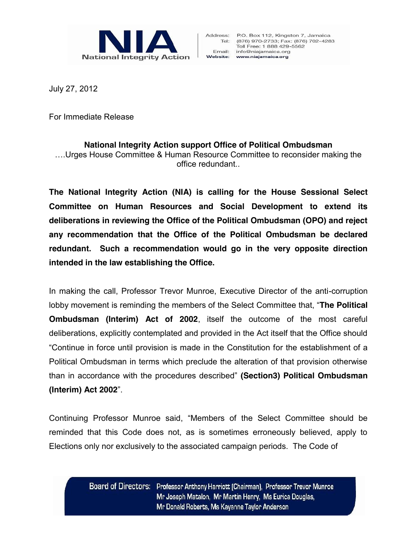

July 27, 2012

For Immediate Release

## **National Integrity Action support Office of Political Ombudsman**

….Urges House Committee & Human Resource Committee to reconsider making the office redundant..

**The National Integrity Action (NIA) is calling for the House Sessional Select Committee on Human Resources and Social Development to extend its deliberations in reviewing the Office of the Political Ombudsman (OPO) and reject any recommendation that the Office of the Political Ombudsman be declared redundant. Such a recommendation would go in the very opposite direction intended in the law establishing the Office.**

In making the call, Professor Trevor Munroe, Executive Director of the anti-corruption lobby movement is reminding the members of the Select Committee that, "**The Political Ombudsman (Interim) Act of 2002**, itself the outcome of the most careful deliberations, explicitly contemplated and provided in the Act itself that the Office should "Continue in force until provision is made in the Constitution for the establishment of a Political Ombudsman in terms which preclude the alteration of that provision otherwise than in accordance with the procedures described" **(Section3) Political Ombudsman (Interim) Act 2002**".

Continuing Professor Munroe said, "Members of the Select Committee should be reminded that this Code does not, as is sometimes erroneously believed, apply to Elections only nor exclusively to the associated campaign periods. The Code of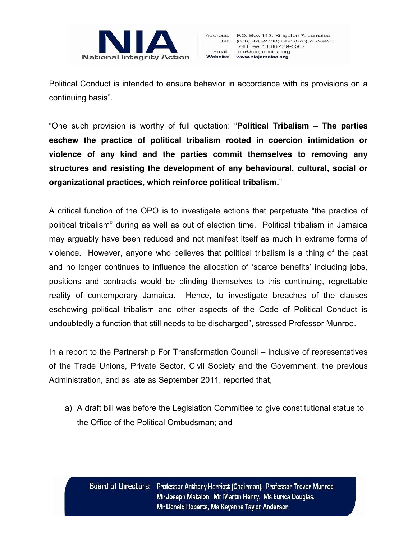

Political Conduct is intended to ensure behavior in accordance with its provisions on a continuing basis".

"One such provision is worthy of full quotation: "**Political Tribalism** – **The parties eschew the practice of political tribalism rooted in coercion intimidation or violence of any kind and the parties commit themselves to removing any structures and resisting the development of any behavioural, cultural, social or organizational practices, which reinforce political tribalism.**"

A critical function of the OPO is to investigate actions that perpetuate "the practice of political tribalism" during as well as out of election time. Political tribalism in Jamaica may arguably have been reduced and not manifest itself as much in extreme forms of violence. However, anyone who believes that political tribalism is a thing of the past and no longer continues to influence the allocation of 'scarce benefits' including jobs, positions and contracts would be blinding themselves to this continuing, regrettable reality of contemporary Jamaica. Hence, to investigate breaches of the clauses eschewing political tribalism and other aspects of the Code of Political Conduct is undoubtedly a function that still needs to be discharged", stressed Professor Munroe.

In a report to the Partnership For Transformation Council – inclusive of representatives of the Trade Unions, Private Sector, Civil Society and the Government, the previous Administration, and as late as September 2011, reported that,

a) A draft bill was before the Legislation Committee to give constitutional status to the Office of the Political Ombudsman; and